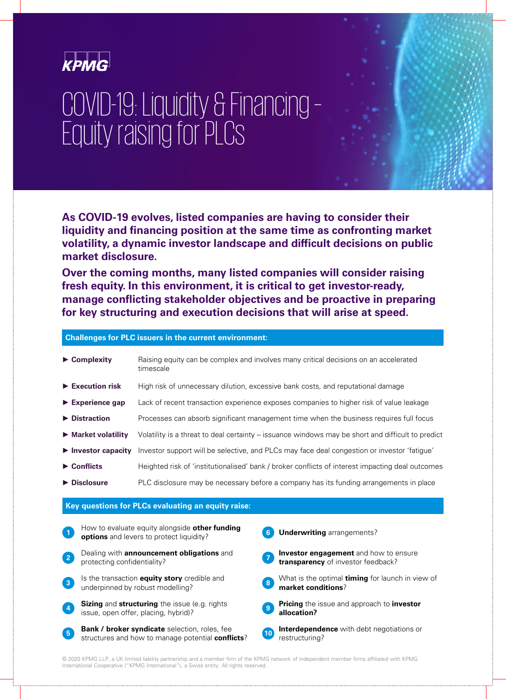

# COVID-19: Liquidity & Financing – Equity raising for PLCs

**As COVID-19 evolves, listed companies are having to consider their liquidity and financing position at the same time as confronting market volatility, a dynamic investor landscape and difficult decisions on public market disclosure.** 

**Over the coming months, many listed companies will consider raising fresh equity. In this environment, it is critical to get investor-ready, manage conflicting stakeholder objectives and be proactive in preparing for key structuring and execution decisions that will arise at speed.** 

## **Challenges for PLC issuers in the current environment:**

| $\blacktriangleright$ Complexity                                                                                                | Raising equity can be complex and involves many critical decisions on an accelerated<br>timescale        |                                                                                        |
|---------------------------------------------------------------------------------------------------------------------------------|----------------------------------------------------------------------------------------------------------|----------------------------------------------------------------------------------------|
| $\blacktriangleright$ Execution risk                                                                                            | High risk of unnecessary dilution, excessive bank costs, and reputational damage                         |                                                                                        |
| $\blacktriangleright$ Experience gap                                                                                            | Lack of recent transaction experience exposes companies to higher risk of value leakage                  |                                                                                        |
| $\blacktriangleright$ Distraction                                                                                               |                                                                                                          | Processes can absorb significant management time when the business requires full focus |
| $\blacktriangleright$ Market volatility                                                                                         | Volatility is a threat to deal certainty – issuance windows may be short and difficult to predict        |                                                                                        |
| $\blacktriangleright$ Investor capacity                                                                                         | Investor support will be selective, and PLCs may face deal congestion or investor 'fatigue'              |                                                                                        |
| $\blacktriangleright$ Conflicts                                                                                                 | Heighted risk of 'institutionalised' bank / broker conflicts of interest impacting deal outcomes         |                                                                                        |
| PLC disclosure may be necessary before a company has its funding arrangements in place<br>▶ Disclosure                          |                                                                                                          |                                                                                        |
| Key questions for PLCs evaluating an equity raise:<br>How to evaluate equity alongside other funding                            |                                                                                                          |                                                                                        |
| $\mathbf{1}$                                                                                                                    | 6 <sup>°</sup><br>options and levers to protect liquidity?                                               | <b>Underwriting arrangements?</b>                                                      |
| Dealing with <b>announcement obligations</b> and<br>$\overline{7}$<br>$\left( 2\right)$<br>protecting confidentiality?          |                                                                                                          | Investor engagement and how to ensure<br>transparency of investor feedback?            |
| Is the transaction equity story credible and<br>$\left(3\right)$<br>$\overline{\mathbf{8}}$<br>underpinned by robust modelling? |                                                                                                          | What is the optimal timing for launch in view of<br>market conditions?                 |
| $\overline{4}$                                                                                                                  | Sizing and structuring the issue (e.g. rights<br>$\overline{9}$<br>issue, open offer, placing, hybrid)?  | <b>Pricing</b> the issue and approach to <b>investor</b><br>allocation?                |
| 5 <sup>5</sup>                                                                                                                  | Bank / broker syndicate selection, roles, fee<br>10<br>structures and how to manage potential conflicts? | Interdependence with debt negotiations or<br>restructuring?                            |

© 2020 KPMG LLP, a UK limited liability partnership and a member firm of the KPMG network of independent member firms affiliated with KPMG International Cooperative ("KPMG International"), a Swiss entity. All rights reserved.